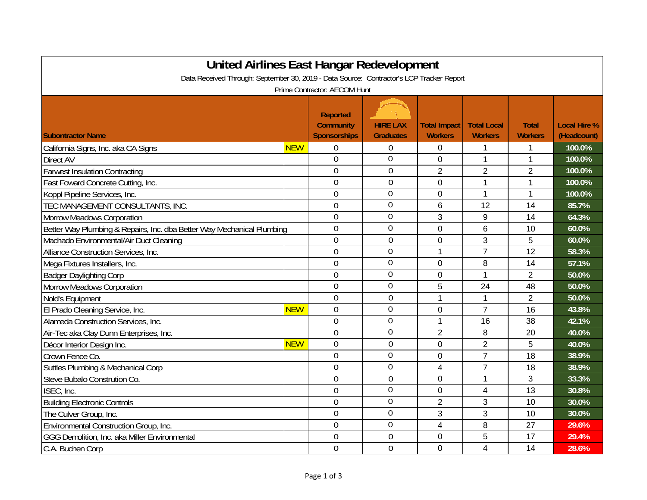| <b>United Airlines East Hangar Redevelopment</b><br>Data Received Through: September 30, 2019 - Data Source: Contractor's LCP Tracker Report |            |                                                            |                                     |                                       |                                      |                                |                                    |  |
|----------------------------------------------------------------------------------------------------------------------------------------------|------------|------------------------------------------------------------|-------------------------------------|---------------------------------------|--------------------------------------|--------------------------------|------------------------------------|--|
|                                                                                                                                              |            | Prime Contractor: AECOM Hunt                               |                                     |                                       |                                      |                                |                                    |  |
| <b>Subontractor Name</b>                                                                                                                     |            | <b>Reported</b><br><b>Community</b><br><b>Sponsorships</b> | <b>HIRE LAX</b><br><b>Graduates</b> | <b>Total Impact</b><br><b>Workers</b> | <b>Total Local</b><br><b>Workers</b> | <b>Total</b><br><b>Workers</b> | <b>Local Hire %</b><br>(Headcount) |  |
| California Signs, Inc. aka CA Signs                                                                                                          | <b>NEW</b> | $\mathbf 0$                                                | $\theta$                            | 0                                     | 1                                    | 1                              | 100.0%                             |  |
| Direct AV                                                                                                                                    |            | $\overline{0}$                                             | $\overline{0}$                      | 0                                     | $\mathbf{1}$                         | 1                              | 100.0%                             |  |
| <b>Farwest Insulation Contracting</b>                                                                                                        |            | $\overline{0}$                                             | $\mathbf 0$                         | $\overline{2}$                        | $\overline{2}$                       | $\overline{2}$                 | 100.0%                             |  |
| Fast Foward Concrete Cutting, Inc.                                                                                                           |            | $\mathbf 0$                                                | $\mathbf 0$                         | 0                                     | $\mathbf 1$                          | 1                              | 100.0%                             |  |
| Koppl Pipeline Services, Inc.                                                                                                                |            | $\overline{0}$                                             | 0                                   | 0                                     | $\mathbf{1}$                         | $\mathbf{1}$                   | 100.0%                             |  |
| TEC MANAGEMENT CONSULTANTS, INC.                                                                                                             |            | $\overline{0}$                                             | $\overline{0}$                      | 6                                     | 12                                   | 14                             | 85.7%                              |  |
| <b>Morrow Meadows Corporation</b>                                                                                                            |            | $\mathbf 0$                                                | 0                                   | 3                                     | 9                                    | 14                             | 64.3%                              |  |
| Better Way Plumbing & Repairs, Inc. dba Better Way Mechanical Plumbing                                                                       |            | $\mathbf 0$                                                | 0                                   | $\overline{0}$                        | 6                                    | 10                             | 60.0%                              |  |
| Machado Environmental/Air Duct Cleaning                                                                                                      |            | $\overline{0}$                                             | $\boldsymbol{0}$                    | 0                                     | 3                                    | 5                              | 60.0%                              |  |
| Alliance Construction Services, Inc.                                                                                                         |            | $\overline{0}$                                             | $\overline{0}$                      | 1                                     | $\overline{7}$                       | 12                             | 58.3%                              |  |
| Mega Fixtures Installers, Inc.                                                                                                               |            | $\overline{0}$                                             | $\mathbf 0$                         | 0                                     | 8                                    | 14                             | 57.1%                              |  |
| <b>Badger Daylighting Corp</b>                                                                                                               |            | $\overline{0}$                                             | $\mathbf 0$                         | 0                                     | 1                                    | $\overline{2}$                 | 50.0%                              |  |
| <b>Morrow Meadows Corporation</b>                                                                                                            |            | $\overline{0}$                                             | $\overline{0}$                      | 5                                     | 24                                   | 48                             | 50.0%                              |  |
| Nold's Equipment                                                                                                                             |            | $\overline{0}$                                             | $\mathbf 0$                         | 1                                     | 1                                    | $\overline{2}$                 | 50.0%                              |  |
| El Prado Cleaning Service, Inc.                                                                                                              | <b>NEW</b> | $\overline{0}$                                             | $\boldsymbol{0}$                    | 0                                     | $\overline{7}$                       | 16                             | 43.8%                              |  |
| Alameda Construction Services, Inc.                                                                                                          |            | $\overline{0}$                                             | $\overline{0}$                      | 1                                     | 16                                   | 38                             | 42.1%                              |  |
| Air-Tec aka Clay Dunn Enterprises, Inc.                                                                                                      |            | $\overline{0}$                                             | $\mathbf 0$                         | $\overline{2}$                        | 8                                    | 20                             | 40.0%                              |  |
| Décor Interior Design Inc.                                                                                                                   | <b>NEW</b> | $\overline{0}$                                             | $\overline{0}$                      | 0                                     | $\overline{2}$                       | 5                              | 40.0%                              |  |
| Crown Fence Co.                                                                                                                              |            | $\mathbf 0$                                                | $\mathbf 0$                         | 0                                     | $\overline{7}$                       | 18                             | 38.9%                              |  |
| Suttles Plumbing & Mechanical Corp                                                                                                           |            | $\mathbf 0$                                                | $\boldsymbol{0}$                    | 4                                     | $\overline{7}$                       | 18                             | 38.9%                              |  |
| Steve Bubalo Constrution Co.                                                                                                                 |            | $\mathbf 0$                                                | $\mathbf 0$                         | 0                                     | 1                                    | 3                              | 33.3%                              |  |
| ISEC, Inc.                                                                                                                                   |            | $\mathbf 0$                                                | $\overline{0}$                      | 0                                     | 4                                    | 13                             | 30.8%                              |  |
| <b>Building Electronic Controls</b>                                                                                                          |            | $\overline{0}$                                             | $\overline{0}$                      | $\overline{2}$                        | 3                                    | 10                             | 30.0%                              |  |
| The Culver Group, Inc.                                                                                                                       |            | $\overline{0}$                                             | $\overline{0}$                      | 3                                     | 3                                    | 10                             | 30.0%                              |  |
| Environmental Construction Group, Inc.                                                                                                       |            | $\overline{0}$                                             | $\mathbf 0$                         | $\overline{4}$                        | 8                                    | 27                             | 29.6%                              |  |
| GGG Demolition, Inc. aka Miller Environmental                                                                                                |            | $\overline{0}$                                             | $\mathbf 0$                         | 0                                     | 5                                    | 17                             | 29.4%                              |  |
| C.A. Buchen Corp                                                                                                                             |            | $\overline{0}$                                             | $\overline{0}$                      | 0                                     | 4                                    | 14                             | 28.6%                              |  |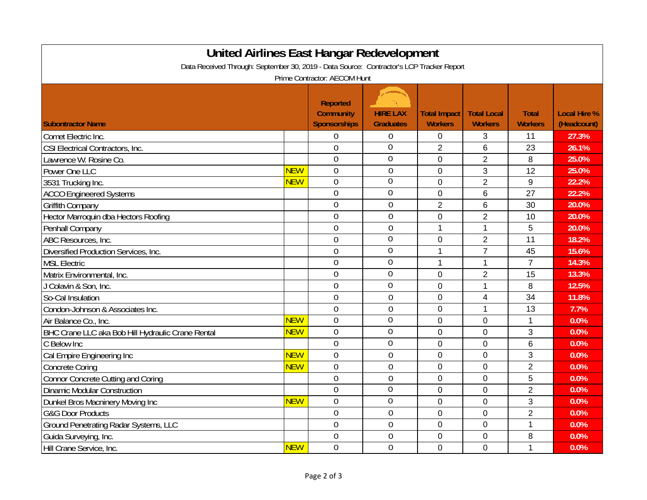| United Airlines East Hangar Redevelopment                                                |            |                                                                                            |                                     |                                       |                                      |                                |                                    |  |
|------------------------------------------------------------------------------------------|------------|--------------------------------------------------------------------------------------------|-------------------------------------|---------------------------------------|--------------------------------------|--------------------------------|------------------------------------|--|
| Data Received Through: September 30, 2019 - Data Source: Contractor's LCP Tracker Report |            |                                                                                            |                                     |                                       |                                      |                                |                                    |  |
| <b>Subontractor Name</b>                                                                 |            | Prime Contractor: AECOM Hunt<br><b>Reported</b><br><b>Community</b><br><b>Sponsorships</b> | <b>HIRE LAX</b><br><b>Graduates</b> | <b>Total Impact</b><br><b>Workers</b> | <b>Total Local</b><br><b>Workers</b> | <b>Total</b><br><b>Workers</b> | <b>Local Hire %</b><br>(Headcount) |  |
| Comet Electric Inc.                                                                      |            | $\mathbf 0$                                                                                | 0                                   | $\mathbf 0$                           | 3                                    | 11                             | 27.3%                              |  |
| CSI Electrical Contractors, Inc.                                                         |            | $\overline{0}$                                                                             | $\overline{0}$                      | $\overline{2}$                        | $6\phantom{1}$                       | 23                             | 26.1%                              |  |
| Lawrence W. Rosine Co.                                                                   |            | $\overline{0}$                                                                             | $\mathbf 0$                         | 0                                     | $\overline{2}$                       | 8                              | 25.0%                              |  |
| Power One LLC                                                                            | <b>NEW</b> | $\mathbf 0$                                                                                | $\mathbf 0$                         | 0                                     | 3                                    | 12                             | 25.0%                              |  |
| 3531 Trucking Inc.                                                                       | <b>NEW</b> | $\overline{0}$                                                                             | $\overline{0}$                      | $\overline{0}$                        | $\overline{2}$                       | 9                              | 22.2%                              |  |
| <b>ACCO Engineered Systems</b>                                                           |            | $\overline{0}$                                                                             | $\mathbf 0$                         | 0                                     | 6                                    | 27                             | 22.2%                              |  |
| <b>Griffith Company</b>                                                                  |            | $\mathbf 0$                                                                                | $\mathbf 0$                         | $\overline{2}$                        | 6                                    | 30                             | 20.0%                              |  |
| Hector Marroquin dba Hectors Roofing                                                     |            | $\overline{0}$                                                                             | $\overline{0}$                      | $\overline{0}$                        | $\overline{2}$                       | 10                             | 20.0%                              |  |
| Penhall Company                                                                          |            | $\mathbf 0$                                                                                | $\mathbf 0$                         | 1                                     | $\mathbf{1}$                         | 5                              | 20.0%                              |  |
| ABC Resources, Inc.                                                                      |            | $\overline{0}$                                                                             | $\overline{0}$                      | $\mathbf 0$                           | $\overline{2}$                       | 11                             | 18.2%                              |  |
| Diversified Production Services, Inc.                                                    |            | $\overline{0}$                                                                             | $\overline{0}$                      | 1                                     | $\overline{7}$                       | 45                             | 15.6%                              |  |
| <b>MSL Electric</b>                                                                      |            | $\overline{0}$                                                                             | $\overline{0}$                      | 1                                     | $\mathbf{1}$                         | $\overline{7}$                 | 14.3%                              |  |
| Matrix Environmental, Inc.                                                               |            | $\overline{0}$                                                                             | $\mathbf 0$                         | 0                                     | $\overline{2}$                       | 15                             | 13.3%                              |  |
| J Colavin & Son, Inc.                                                                    |            | $\overline{0}$                                                                             | $\overline{0}$                      | $\overline{0}$                        | $\mathbf{1}$                         | 8                              | 12.5%                              |  |
| So-Cal Insulation                                                                        |            | $\overline{0}$                                                                             | $\mathbf 0$                         | 0                                     | 4                                    | 34                             | 11.8%                              |  |
| Condon-Johnson & Associates Inc.                                                         |            | $\overline{0}$                                                                             | $\mathbf 0$                         | $\overline{0}$                        | $\mathbf{1}$                         | 13                             | 7.7%                               |  |
| Air Balance Co., Inc.                                                                    | <b>NEW</b> | $\mathbf 0$                                                                                | $\overline{0}$                      | 0                                     | 0                                    | 1                              | 0.0%                               |  |
| BHC Crane LLC aka Bob Hill Hydraulic Crane Rental                                        | <b>NEW</b> | $\overline{0}$                                                                             | $\mathbf 0$                         | $\mathbf 0$                           | $\overline{0}$                       | 3                              | 0.0%                               |  |
| C Below Inc                                                                              |            | $\overline{0}$                                                                             | $\mathbf 0$                         | 0                                     | 0                                    | 6                              | 0.0%                               |  |
| Cal Empire Engineering Inc                                                               | <b>NEW</b> | $\overline{0}$                                                                             | $\mathbf 0$                         | 0                                     | 0                                    | 3                              | 0.0%                               |  |
| <b>Concrete Coring</b>                                                                   | <b>NEW</b> | $\overline{0}$                                                                             | $\overline{0}$                      | $\overline{0}$                        | 0                                    | $\overline{2}$                 | 0.0%                               |  |
| <b>Connor Concrete Cutting and Coring</b>                                                |            | $\overline{0}$                                                                             | $\overline{0}$                      | $\overline{0}$                        | $\overline{0}$                       | 5                              | 0.0%                               |  |
| <b>Dinamic Modular Construction</b>                                                      |            | $\mathbf 0$                                                                                | $\mathbf 0$                         | 0                                     | 0                                    | $\overline{2}$                 | 0.0%                               |  |
| Dunkel Bros Macninery Moving Inc                                                         | <b>NEW</b> | $\overline{0}$                                                                             | $\mathbf 0$                         | $\overline{0}$                        | 0                                    | 3                              | 0.0%                               |  |
| <b>G&amp;G Door Products</b>                                                             |            | $\overline{0}$                                                                             | $\mathbf 0$                         | $\mathbf 0$                           | $\overline{0}$                       | $\overline{2}$                 | 0.0%                               |  |
| Ground Penetrating Radar Systems, LLC                                                    |            | $\overline{0}$                                                                             | $\mathbf 0$                         | $\mathbf 0$                           | $\mathbf 0$                          | 1                              | 0.0%                               |  |
| Guida Surveying, Inc.                                                                    |            | $\mathbf 0$                                                                                | $\mathbf 0$                         | 0                                     | 0                                    | 8                              | 0.0%                               |  |
| Hill Crane Service, Inc.                                                                 | <b>NEW</b> | $\overline{0}$                                                                             | $\overline{0}$                      | 0                                     | 0                                    | 1                              | 0.0%                               |  |